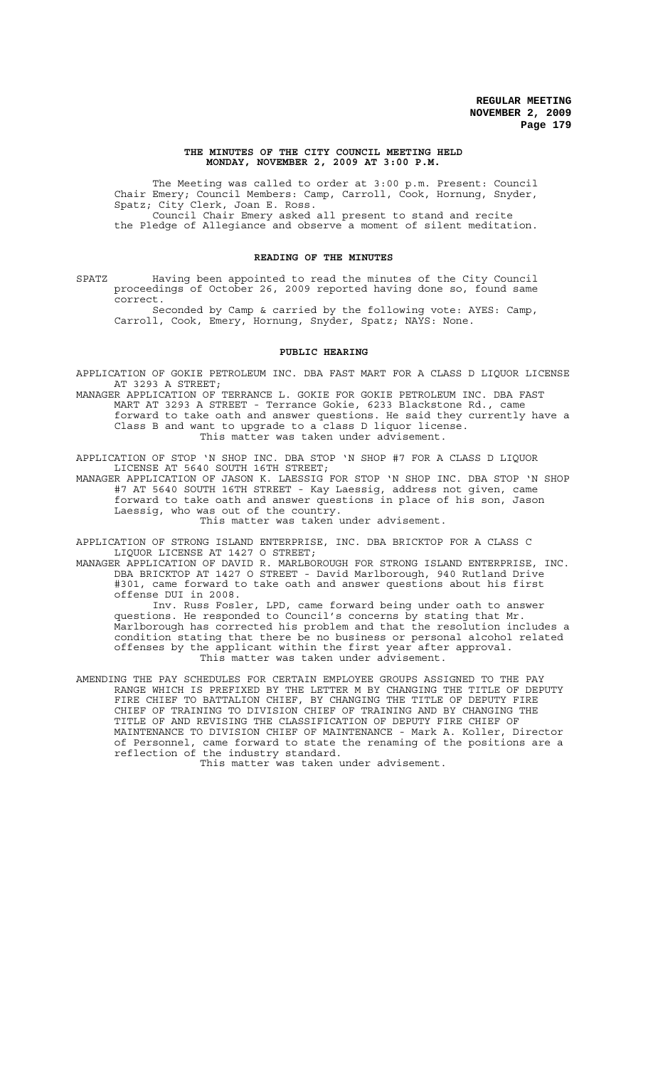#### **THE MINUTES OF THE CITY COUNCIL MEETING HELD MONDAY, NOVEMBER 2, 2009 AT 3:00 P.M.**

The Meeting was called to order at 3:00 p.m. Present: Council Chair Emery; Council Members: Camp, Carroll, Cook, Hornung, Snyder, Spatz; City Clerk, Joan E. Ross. Council Chair Emery asked all present to stand and recite the Pledge of Allegiance and observe a moment of silent meditation.

## **READING OF THE MINUTES**

SPATZ Having been appointed to read the minutes of the City Council proceedings of October 26, 2009 reported having done so, found same correct.

Seconded by Camp & carried by the following vote: AYES: Camp, Carroll, Cook, Emery, Hornung, Snyder, Spatz; NAYS: None.

### **PUBLIC HEARING**

APPLICATION OF GOKIE PETROLEUM INC. DBA FAST MART FOR A CLASS D LIQUOR LICENSE AT 3293 A STREET;

MANAGER APPLICATION OF TERRANCE L. GOKIE FOR GOKIE PETROLEUM INC. DBA FAST MART AT 3293 A STREET - Terrance Gokie, 6233 Blackstone Rd., came forward to take oath and answer questions. He said they currently have a Class B and want to upgrade to a class D liquor license. This matter was taken under advisement.

APPLICATION OF STOP 'N SHOP INC. DBA STOP 'N SHOP #7 FOR A CLASS D LIQUOR LICENSE AT 5640 SOUTH 16TH STREET;

MANAGER APPLICATION OF JASON K. LAESSIG FOR STOP 'N SHOP INC. DBA STOP 'N SHOP #7 AT 5640 SOUTH 16TH STREET - Kay Laessig, address not given, came forward to take oath and answer questions in place of his son, Jason Laessig, who was out of the country. This matter was taken under advisement.

APPLICATION OF STRONG ISLAND ENTERPRISE, INC. DBA BRICKTOP FOR A CLASS C LIQUOR LICENSE AT 1427 O STREET;

MANAGER APPLICATION OF DAVID R. MARLBOROUGH FOR STRONG ISLAND ENTERPRISE, INC. DBA BRICKTOP AT 1427 O STREET - David Marlborough, 940 Rutland Drive #301, came forward to take oath and answer questions about his first offense DUI in 2008.

Inv. Russ Fosler, LPD, came forward being under oath to answer questions. He responded to Council's concerns by stating that Mr. Marlborough has corrected his problem and that the resolution includes a condition stating that there be no business or personal alcohol related offenses by the applicant within the first year after approval. This matter was taken under advisement.

AMENDING THE PAY SCHEDULES FOR CERTAIN EMPLOYEE GROUPS ASSIGNED TO THE PAY RANGE WHICH IS PREFIXED BY THE LETTER M BY CHANGING THE TITLE OF DEPUTY FIRE CHIEF TO BATTALION CHIEF, BY CHANGING THE TITLE OF DEPUTY FIRE CHIEF OF TRAINING TO DIVISION CHIEF OF TRAINING AND BY CHANGING THE TITLE OF AND REVISING THE CLASSIFICATION OF DEPUTY FIRE CHIEF OF MAINTENANCE TO DIVISION CHIEF OF MAINTENANCE - Mark A. Koller, Director of Personnel, came forward to state the renaming of the positions are a reflection of the industry standard.

This matter was taken under advisement.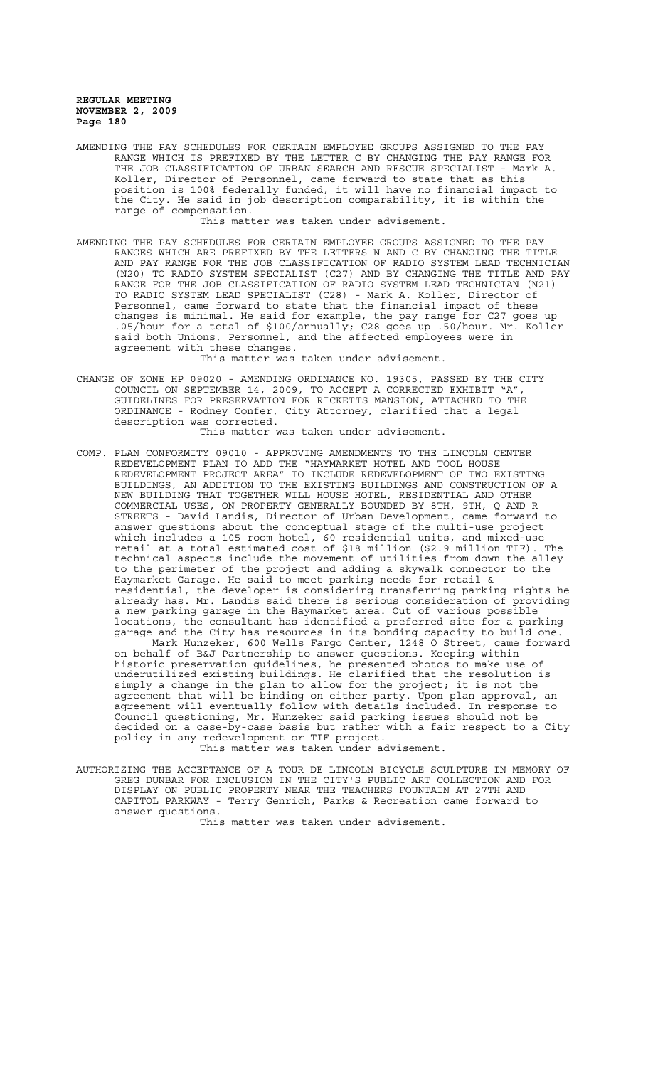AMENDING THE PAY SCHEDULES FOR CERTAIN EMPLOYEE GROUPS ASSIGNED TO THE PAY RANGE WHICH IS PREFIXED BY THE LETTER C BY CHANGING THE PAY RANGE FOR THE JOB CLASSIFICATION OF URBAN SEARCH AND RESCUE SPECIALIST - Mark A. Koller, Director of Personnel, came forward to state that as this position is 100% federally funded, it will have no financial impact to the City. He said in job description comparability, it is within the range of compensation.

This matter was taken under advisement.

AMENDING THE PAY SCHEDULES FOR CERTAIN EMPLOYEE GROUPS ASSIGNED TO THE PAY RANGES WHICH ARE PREFIXED BY THE LETTERS N AND C BY CHANGING THE TITLE AND PAY RANGE FOR THE JOB CLASSIFICATION OF RADIO SYSTEM LEAD TECHNICIAN (N20) TO RADIO SYSTEM SPECIALIST (C27) AND BY CHANGING THE TITLE AND PAY RANGE FOR THE JOB CLASSIFICATION OF RADIO SYSTEM LEAD TECHNICIAN (N21) TO RADIO SYSTEM LEAD SPECIALIST (C28) - Mark A. Koller, Director of Personnel, came forward to state that the financial impact of these changes is minimal. He said for example, the pay range for C27 goes up .05/hour for a total of \$100/annually; C28 goes up .50/hour. Mr. Koller said both Unions, Personnel, and the affected employees were in agreement with these changes.

This matter was taken under advisement.

CHANGE OF ZONE HP 09020 - AMENDING ORDINANCE NO. 19305, PASSED BY THE CITY COUNCIL ON SEPTEMBER 14, 2009, TO ACCEPT A CORRECTED EXHIBIT "A", GUIDELINES FOR PRESERVATION FOR RICKET<u>T</u>S MANSION, ATTACHED TO THE ORDINANCE - Rodney Confer, City Attorney, clarified that a legal description was corrected.

This matter was taken under advisement.

COMP. PLAN CONFORMITY 09010 - APPROVING AMENDMENTS TO THE LINCOLN CENTER REDEVELOPMENT PLAN TO ADD THE "HAYMARKET HOTEL AND TOOL HOUSE REDEVELOPMENT PROJECT AREA" TO INCLUDE REDEVELOPMENT OF TWO EXISTING BUILDINGS, AN ADDITION TO THE EXISTING BUILDINGS AND CONSTRUCTION OF A NEW BUILDING THAT TOGETHER WILL HOUSE HOTEL, RESIDENTIAL AND OTHER COMMERCIAL USES, ON PROPERTY GENERALLY BOUNDED BY 8TH, 9TH, Q AND R STREETS - David Landis, Director of Urban Development, came forward to answer questions about the conceptual stage of the multi-use project which includes a 105 room hotel, 60 residential units, and mixed-use retail at a total estimated cost of \$18 million (\$2.9 million TIF). The technical aspects include the movement of utilities from down the alley to the perimeter of the project and adding a skywalk connector to the Haymarket Garage. He said to meet parking needs for retail & residential, the developer is considering transferring parking rights he already has. Mr. Landis said there is serious consideration of providing a new parking garage in the Haymarket area. Out of various possible locations, the consultant has identified a preferred site for a parking garage and the City has resources in its bonding capacity to build one. Mark Hunzeker, 600 Wells Fargo Center, 1248 O Street, came forward on behalf of B&J Partnership to answer questions. Keeping within historic preservation guidelines, he presented photos to make use of underutilized existing buildings. He clarified that the resolution is simply a change in the plan to allow for the project; it is not the agreement that will be binding on either party. Upon plan approval, an agreement will eventually follow with details included. In response to Council questioning, Mr. Hunzeker said parking issues should not be decided on a case-by-case basis but rather with a fair respect to a City policy in any redevelopment or TIF project.

This matter was taken under advisement.

AUTHORIZING THE ACCEPTANCE OF A TOUR DE LINCOLN BICYCLE SCULPTURE IN MEMORY OF GREG DUNBAR FOR INCLUSION IN THE CITY'S PUBLIC ART COLLECTION AND FOR DISPLAY ON PUBLIC PROPERTY NEAR THE TEACHERS FOUNTAIN AT 27TH AND CAPITOL PARKWAY - Terry Genrich, Parks & Recreation came forward to answer questions.

This matter was taken under advisement.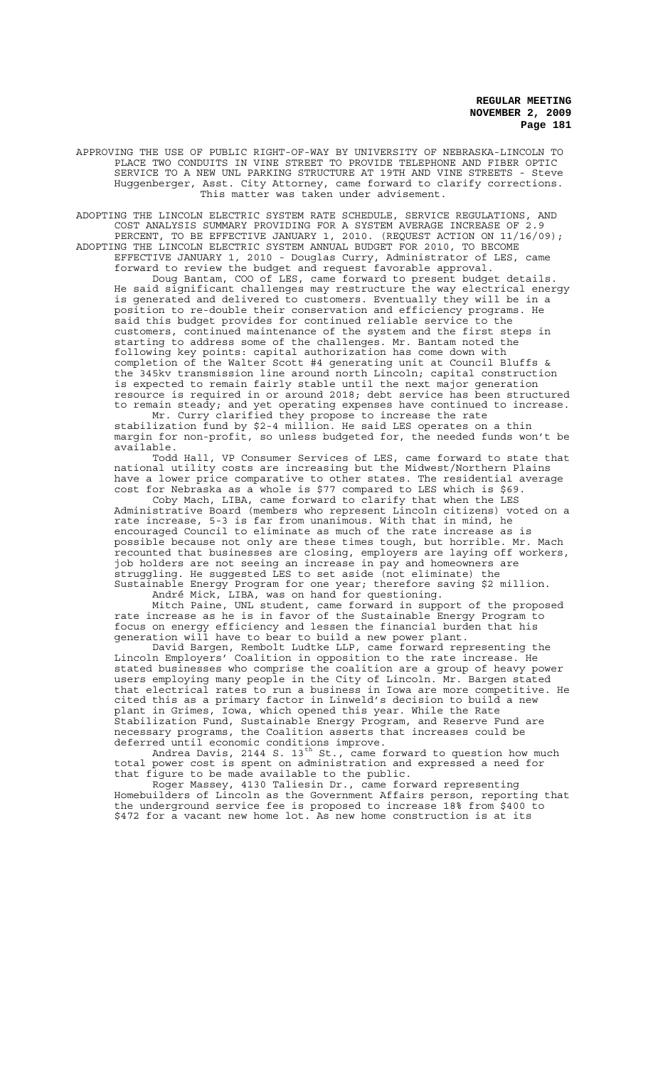APPROVING THE USE OF PUBLIC RIGHT-OF-WAY BY UNIVERSITY OF NEBRASKA-LINCOLN TO PLACE TWO CONDUITS IN VINE STREET TO PROVIDE TELEPHONE AND FIBER OPTIC SERVICE TO A NEW UNL PARKING STRUCTURE AT 19TH AND VINE STREETS - Steve Huggenberger, Asst. City Attorney, came forward to clarify corrections. This matter was taken under advisement.

ADOPTING THE LINCOLN ELECTRIC SYSTEM RATE SCHEDULE, SERVICE REGULATIONS, AND COST ANALYSIS SUMMARY PROVIDING FOR A SYSTEM AVERAGE INCREASE OF 2.9 PERCENT, TO BE EFFECTIVE JANUARY 1, 2010. (REQUEST ACTION ON 11/16/09); ADOPTING THE LINCOLN ELECTRIC SYSTEM ANNUAL BUDGET FOR 2010, TO BECOME

EFFECTIVE JANUARY 1, 2010 - Douglas Curry, Administrator of LES, came forward to review the budget and request favorable approval. Doug Bantam, COO of LES, came forward to present budget details. He said significant challenges may restructure the way electrical energy is generated and delivered to customers. Eventually they will be in a position to re-double their conservation and efficiency programs. He said this budget provides for continued reliable service to the customers, continued maintenance of the system and the first steps in starting to address some of the challenges. Mr. Bantam noted the following key points: capital authorization has come down with completion of the Walter Scott #4 generating unit at Council Bluffs & the 345kv transmission line around north Lincoln; capital construction is expected to remain fairly stable until the next major generation resource is required in or around 2018; debt service has been structured to remain steady; and yet operating expenses have continued to increase.

Mr. Curry clarified they propose to increase the rate stabilization fund by \$2-4 million. He said LES operates on a thin margin for non-profit, so unless budgeted for, the needed funds won't be available.

Todd Hall, VP Consumer Services of LES, came forward to state that national utility costs are increasing but the Midwest/Northern Plains have a lower price comparative to other states. The residential average cost for Nebraska as a whole is \$77 compared to LES which is \$69.

Coby Mach, LIBA, came forward to clarify that when the LES Administrative Board (members who represent Lincoln citizens) voted on a rate increase, 5-3 is far from unanimous. With that in mind, he encouraged Council to eliminate as much of the rate increase as is possible because not only are these times tough, but horrible. Mr. Mach recounted that businesses are closing, employers are laying off workers, job holders are not seeing an increase in pay and homeowners are struggling. He suggested LES to set aside (not eliminate) the Sustainable Energy Program for one year; therefore saving \$2 million. André Mick, LIBA, was on hand for questioning.

Mitch Paine, UNL student, came forward in support of the proposed rate increase as he is in favor of the Sustainable Energy Program to focus on energy efficiency and lessen the financial burden that his generation will have to bear to build a new power plant.

David Bargen, Rembolt Ludtke LLP, came forward representing the Lincoln Employers' Coalition in opposition to the rate increase. He stated businesses who comprise the coalition are a group of heavy power users employing many people in the City of Lincoln. Mr. Bargen stated that electrical rates to run a business in Iowa are more competitive. He cited this as a primary factor in Linweld's decision to build a new plant in Grimes, Iowa, which opened this year. While the Rate Stabilization Fund, Sustainable Energy Program, and Reserve Fund are necessary programs, the Coalition asserts that increases could be deferred until economic conditions improve.

Andrea Davis, 2144 S. 13<sup>th</sup> St., came forward to question how much total power cost is spent on administration and expressed a need for that figure to be made available to the public.

Roger Massey, 4130 Taliesin Dr., came forward representing Homebuilders of Lincoln as the Government Affairs person, reporting that the underground service fee is proposed to increase 18% from \$400 to \$472 for a vacant new home lot. As new home construction is at its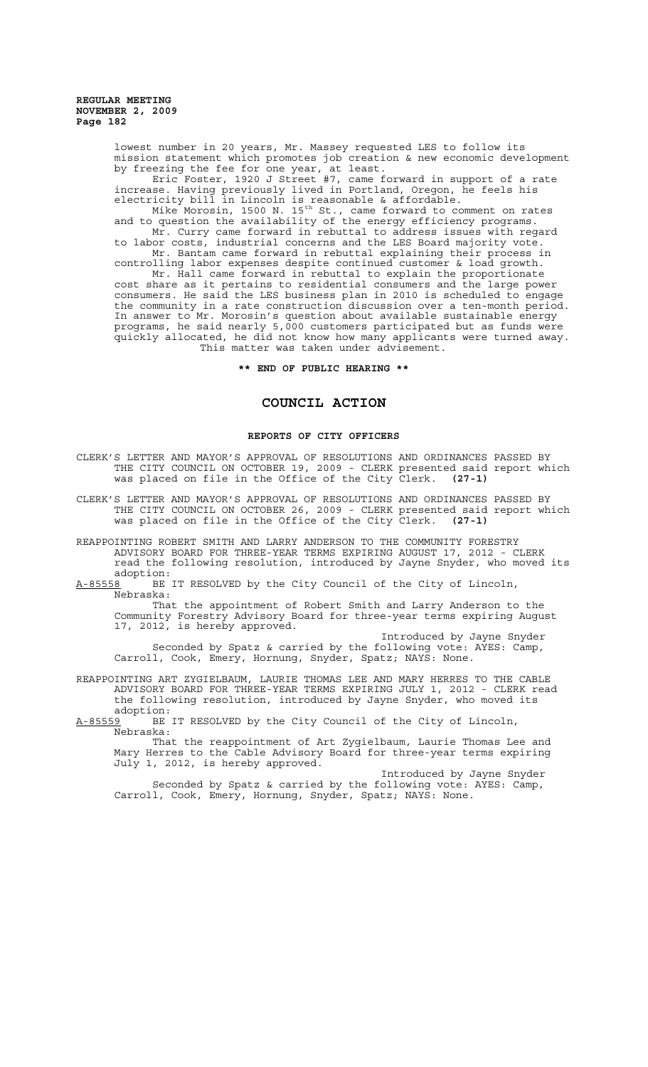> lowest number in 20 years, Mr. Massey requested LES to follow its mission statement which promotes job creation & new economic development by freezing the fee for one year, at least.

Eric Foster, 1920 J Street #7, came forward in support of a rate increase. Having previously lived in Portland, Oregon, he feels his electricity bill in Lincoln is reasonable & affordable.

Mike Morosin, 1500 N. 15<sup>th</sup> St., came forward to comment on rates and to question the availability of the energy efficiency programs. Mr. Curry came forward in rebuttal to address issues with regard to labor costs, industrial concerns and the LES Board majority vote.

Mr. Bantam came forward in rebuttal explaining their process in controlling labor expenses despite continued customer & load growth.

Mr. Hall came forward in rebuttal to explain the proportionate cost share as it pertains to residential consumers and the large power consumers. He said the LES business plan in 2010 is scheduled to engage the community in a rate construction discussion over a ten-month period. In answer to Mr. Morosin's question about available sustainable energy programs, he said nearly 5,000 customers participated but as funds were quickly allocated, he did not know how many applicants were turned away. This matter was taken under advisement.

**\*\* END OF PUBLIC HEARING \*\***

# **COUNCIL ACTION**

# **REPORTS OF CITY OFFICERS**

- CLERK'S LETTER AND MAYOR'S APPROVAL OF RESOLUTIONS AND ORDINANCES PASSED BY THE CITY COUNCIL ON OCTOBER 19, 2009 - CLERK presented said report which was placed on file in the Office of the City Clerk. **(27-1)**
- CLERK'S LETTER AND MAYOR'S APPROVAL OF RESOLUTIONS AND ORDINANCES PASSED BY THE CITY COUNCIL ON OCTOBER 26, 2009 - CLERK presented said report which was placed on file in the Office of the City Clerk. **(27-1)**
- REAPPOINTING ROBERT SMITH AND LARRY ANDERSON TO THE COMMUNITY FORESTRY ADVISORY BOARD FOR THREE-YEAR TERMS EXPIRING AUGUST 17, 2012 - CLERK read the following resolution, introduced by Jayne Snyder, who moved its

adoption:<br>A-85558 BE BE IT RESOLVED by the City Council of the City of Lincoln, Nebraska:

That the appointment of Robert Smith and Larry Anderson to the Community Forestry Advisory Board for three-year terms expiring August 17, 2012, is hereby approved.

Introduced by Jayne Snyder Seconded by Spatz & carried by the following vote: AYES: Camp, Carroll, Cook, Emery, Hornung, Snyder, Spatz; NAYS: None.

REAPPOINTING ART ZYGIELBAUM, LAURIE THOMAS LEE AND MARY HERRES TO THE CABLE ADVISORY BOARD FOR THREE-YEAR TERMS EXPIRING JULY 1, 2012 - CLERK read the following resolution, introduced by Jayne Snyder, who moved its

adoption:<br><u>A-85559</u> BE BE IT RESOLVED by the City Council of the City of Lincoln, Nebraska:

That the reappointment of Art Zygielbaum, Laurie Thomas Lee and Mary Herres to the Cable Advisory Board for three-year terms expiring July 1, 2012, is hereby approved.

Introduced by Jayne Snyder Seconded by Spatz & carried by the following vote: AYES: Camp, Carroll, Cook, Emery, Hornung, Snyder, Spatz; NAYS: None.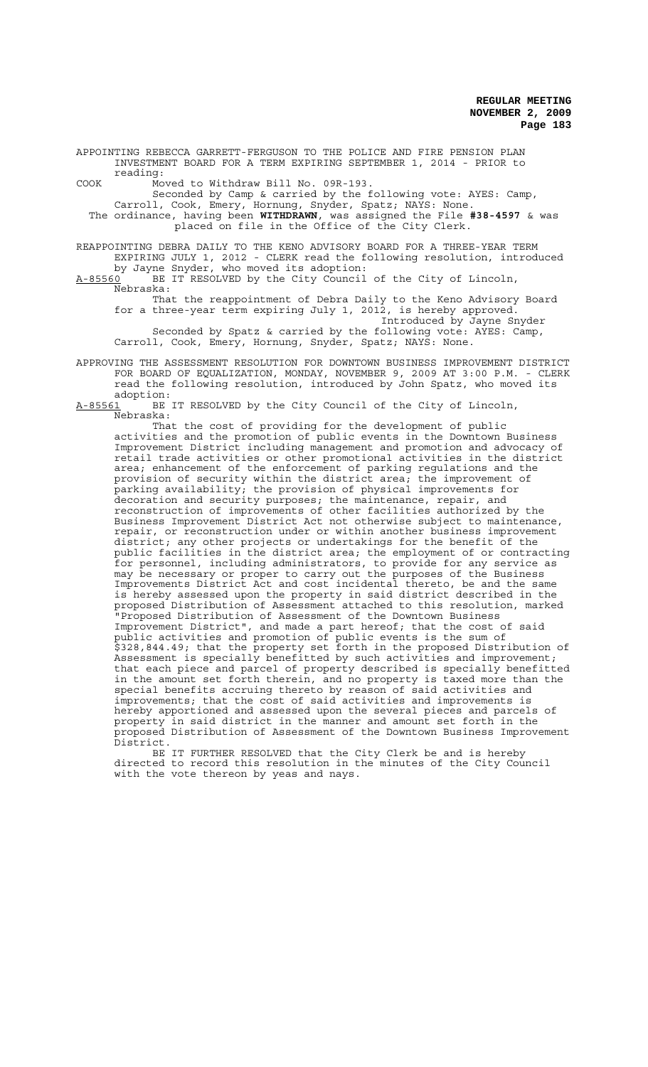APPOINTING REBECCA GARRETT-FERGUSON TO THE POLICE AND FIRE PENSION PLAN INVESTMENT BOARD FOR A TERM EXPIRING SEPTEMBER 1, 2014 - PRIOR to reading:

COOK Moved to Withdraw Bill No. 09R-193.

Seconded by Camp & carried by the following vote: AYES: Camp, Carroll, Cook, Emery, Hornung, Snyder, Spatz; NAYS: None. The ordinance, having been **WITHDRAWN**, was assigned the File **#38-4597** & was placed on file in the Office of the City Clerk.

REAPPOINTING DEBRA DAILY TO THE KENO ADVISORY BOARD FOR A THREE-YEAR TERM EXPIRING JULY 1, 2012 - CLERK read the following resolution, introduced

by Jayne Snyder, who moved its adoption: A-85560 BE IT RESOLVED by the City Council of the City of Lincoln, Nebraska:

That the reappointment of Debra Daily to the Keno Advisory Board for a three-year term expiring July 1, 2012, is hereby approved. Introduced by Jayne Snyder Seconded by Spatz & carried by the following vote: AYES: Camp,

Carroll, Cook, Emery, Hornung, Snyder, Spatz; NAYS: None. APPROVING THE ASSESSMENT RESOLUTION FOR DOWNTOWN BUSINESS IMPROVEMENT DISTRICT

FOR BOARD OF EQUALIZATION, MONDAY, NOVEMBER 9, 2009 AT 3:00 P.M. - CLERK read the following resolution, introduced by John Spatz, who moved its adoption:

A-85561 BE IT RESOLVED by the City Council of the City of Lincoln, Nebraska:

That the cost of providing for the development of public activities and the promotion of public events in the Downtown Business Improvement District including management and promotion and advocacy of retail trade activities or other promotional activities in the district area; enhancement of the enforcement of parking regulations and the provision of security within the district area; the improvement of parking availability; the provision of physical improvements for decoration and security purposes; the maintenance, repair, and reconstruction of improvements of other facilities authorized by the Business Improvement District Act not otherwise subject to maintenance, repair, or reconstruction under or within another business improvement district; any other projects or undertakings for the benefit of the public facilities in the district area; the employment of or contracting for personnel, including administrators, to provide for any service as may be necessary or proper to carry out the purposes of the Business Improvements District Act and cost incidental thereto, be and the same is hereby assessed upon the property in said district described in the proposed Distribution of Assessment attached to this resolution, marked "Proposed Distribution of Assessment of the Downtown Business Improvement District", and made a part hereof; that the cost of said public activities and promotion of public events is the sum of \$328,844.49; that the property set forth in the proposed Distribution of Assessment is specially benefitted by such activities and improvement; that each piece and parcel of property described is specially benefitted in the amount set forth therein, and no property is taxed more than the special benefits accruing thereto by reason of said activities and improvements; that the cost of said activities and improvements is hereby apportioned and assessed upon the several pieces and parcels of property in said district in the manner and amount set forth in the proposed Distribution of Assessment of the Downtown Business Improvement District.

BE IT FURTHER RESOLVED that the City Clerk be and is hereby directed to record this resolution in the minutes of the City Council with the vote thereon by yeas and nays.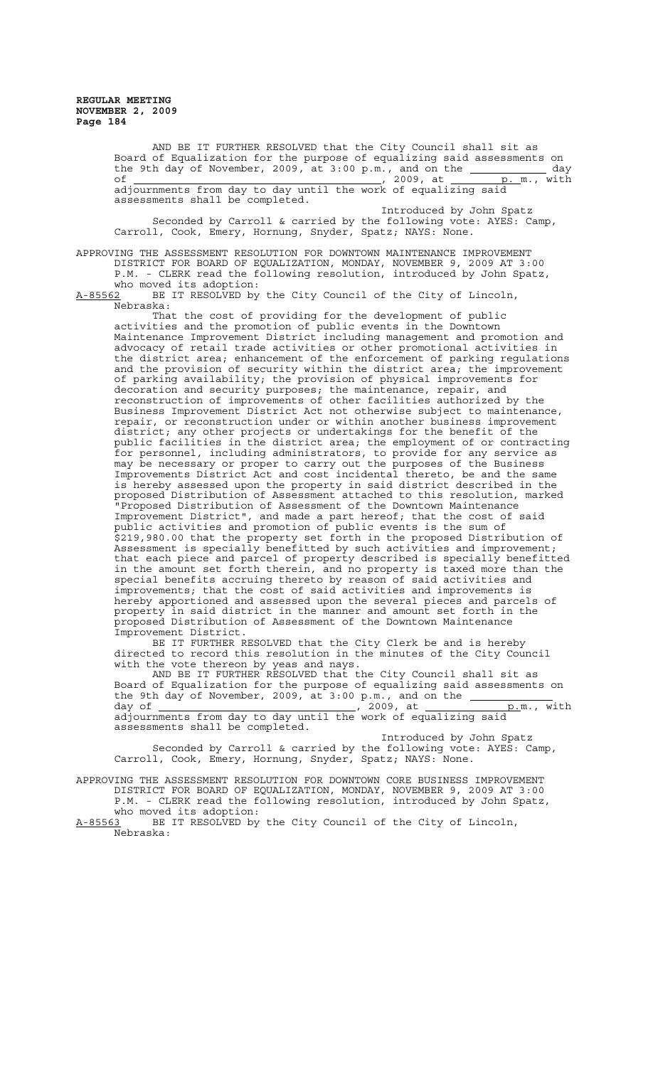> AND BE IT FURTHER RESOLVED that the City Council shall sit as Board of Equalization for the purpose of equalizing said assessments on the 9th day of November, 2009, at  $3:00 \text{ p.m.}$ , and on the  $\overline{\phantom{a}}$  day of <u>example 2009</u>, 2009, at <u>p. m., with</u> adjournments from day to day until the work of equalizing said assessments shall be completed. Introduced by John Spatz Seconded by Carroll & carried by the following vote: AYES: Camp, Carroll, Cook, Emery, Hornung, Snyder, Spatz; NAYS: None.

APPROVING THE ASSESSMENT RESOLUTION FOR DOWNTOWN MAINTENANCE IMPROVEMENT DISTRICT FOR BOARD OF EQUALIZATION, MONDAY, NOVEMBER 9, 2009 AT 3:00 P.M. - CLERK read the following resolution, introduced by John Spatz,

who moved its adoption:<br>A-85562 BE IT RESOLVED by BE IT RESOLVED by the City Council of the City of Lincoln, Nebraska:

That the cost of providing for the development of public activities and the promotion of public events in the Downtown Maintenance Improvement District including management and promotion and advocacy of retail trade activities or other promotional activities in the district area; enhancement of the enforcement of parking regulations and the provision of security within the district area; the improvement of parking availability; the provision of physical improvements for decoration and security purposes; the maintenance, repair, and reconstruction of improvements of other facilities authorized by the Business Improvement District Act not otherwise subject to maintenance, repair, or reconstruction under or within another business improvement district; any other projects or undertakings for the benefit of the public facilities in the district area; the employment of or contracting for personnel, including administrators, to provide for any service as may be necessary or proper to carry out the purposes of the Business Improvements District Act and cost incidental thereto, be and the same is hereby assessed upon the property in said district described in the proposed Distribution of Assessment attached to this resolution, marked "Proposed Distribution of Assessment of the Downtown Maintenance Improvement District", and made a part hereof; that the cost of said public activities and promotion of public events is the sum of \$219,980.00 that the property set forth in the proposed Distribution of Assessment is specially benefitted by such activities and improvement; that each piece and parcel of property described is specially benefitted in the amount set forth therein, and no property is taxed more than the special benefits accruing thereto by reason of said activities and improvements; that the cost of said activities and improvements is hereby apportioned and assessed upon the several pieces and parcels of<br>property in said district in the manner and amount set forth in the property in said district in the manner and amount set forth in the proposed Distribution of Assessment of the Downtown Maintenance Improvement District.

BE IT FURTHER RESOLVED that the City Clerk be and is hereby directed to record this resolution in the minutes of the City Council with the vote thereon by yeas and nays.

AND BE IT FURTHER RESOLVED that the City Council shall sit as Board of Equalization for the purpose of equalizing said assessments on the 9th day of November, 2009, at 3:00 p.m., and on the day of , 2009, at p.m., with adjournments from day to day until the work of equalizing said

assessments shall be completed. Introduced by John Spatz

Seconded by Carroll & carried by the following vote: AYES: Camp, Carroll, Cook, Emery, Hornung, Snyder, Spatz; NAYS: None.

APPROVING THE ASSESSMENT RESOLUTION FOR DOWNTOWN CORE BUSINESS IMPROVEMENT DISTRICT FOR BOARD OF EQUALIZATION, MONDAY, NOVEMBER 9, 2009 AT 3:00 P.M. - CLERK read the following resolution, introduced by John Spatz,

who moved its adoption:<br>A-85563 BE IT RESOLVED by BE IT RESOLVED by the City Council of the City of Lincoln, Nebraska: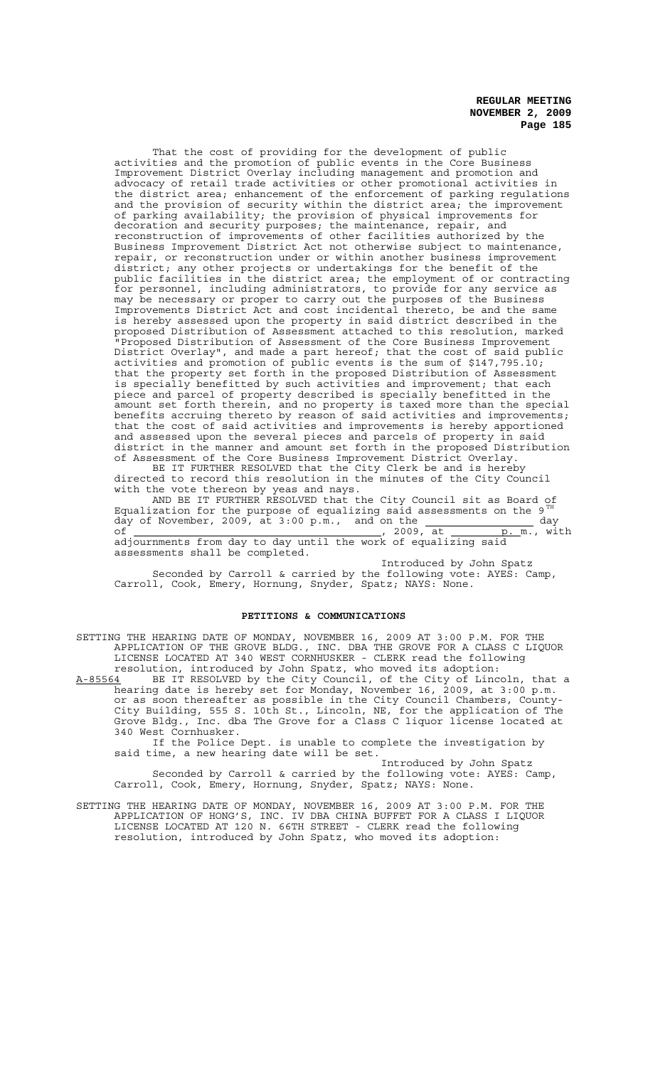That the cost of providing for the development of public activities and the promotion of public events in the Core Business Improvement District Overlay including management and promotion and advocacy of retail trade activities or other promotional activities in the district area; enhancement of the enforcement of parking regulations and the provision of security within the district area; the improvement of parking availability; the provision of physical improvements for decoration and security purposes; the maintenance, repair, and reconstruction of improvements of other facilities authorized by the Business Improvement District Act not otherwise subject to maintenance, repair, or reconstruction under or within another business improvement district; any other projects or undertakings for the benefit of the public facilities in the district area; the employment of or contracting for personnel, including administrators, to provide for any service as may be necessary or proper to carry out the purposes of the Business Improvements District Act and cost incidental thereto, be and the same is hereby assessed upon the property in said district described in the proposed Distribution of Assessment attached to this resolution, marked "Proposed Distribution of Assessment of the Core Business Improvement District Overlay", and made a part hereof; that the cost of said public activities and promotion of public events is the sum of \$147,795.10; that the property set forth in the proposed Distribution of Assessment is specially benefitted by such activities and improvement; that each piece and parcel of property described is specially benefitted in the amount set forth therein, and no property is taxed more than the special benefits accruing thereto by reason of said activities and improvements; that the cost of said activities and improvements is hereby apportioned and assessed upon the several pieces and parcels of property in said district in the manner and amount set forth in the proposed Distribution of Assessment of the Core Business Improvement District Overlay. BE IT FURTHER RESOLVED that the City Clerk be and is hereby

directed to record this resolution in the minutes of the City Council with the vote thereon by yeas and nays.

AND BE IT FURTHER RESOLVED that the City Council sit as Board of Equalization for the purpose of equalizing said assessments on the 9 $^{\mathtt{TH}}$ day of November, 2009, at  $3:00 \text{ p.m.}$ , and on the  $\qquad \qquad \qquad$  day of , 2009, at p. m., with adjournments from day to day until the work of equalizing said assessments shall be completed.

Introduced by John Spatz Seconded by Carroll & carried by the following vote: AYES: Camp, Carroll, Cook, Emery, Hornung, Snyder, Spatz; NAYS: None.

## **PETITIONS & COMMUNICATIONS**

SETTING THE HEARING DATE OF MONDAY, NOVEMBER 16, 2009 AT 3:00 P.M. FOR THE APPLICATION OF THE GROVE BLDG., INC. DBA THE GROVE FOR A CLASS C LIQUOR LICENSE LOCATED AT 340 WEST CORNHUSKER - CLERK read the following resolution, introduced by John Spatz, who moved its adoption:

A-85564 BE IT RESOLVED by the City Council, of the City of Lincoln, that a hearing date is hereby set for Monday, November 16, 2009, at 3:00 p.m. or as soon thereafter as possible in the City Council Chambers, County-City Building, 555 S. 10th St., Lincoln, NE, for the application of The Grove Bldg., Inc. dba The Grove for a Class C liquor license located at 340 West Cornhusker.

If the Police Dept. is unable to complete the investigation by said time, a new hearing date will be set.

Introduced by John Spatz Seconded by Carroll & carried by the following vote: AYES: Camp, Carroll, Cook, Emery, Hornung, Snyder, Spatz; NAYS: None.

SETTING THE HEARING DATE OF MONDAY, NOVEMBER 16, 2009 AT 3:00 P.M. FOR THE APPLICATION OF HONG'S, INC. IV DBA CHINA BUFFET FOR A CLASS I LIQUOR LICENSE LOCATED AT 120 N. 66TH STREET - CLERK read the following resolution, introduced by John Spatz, who moved its adoption: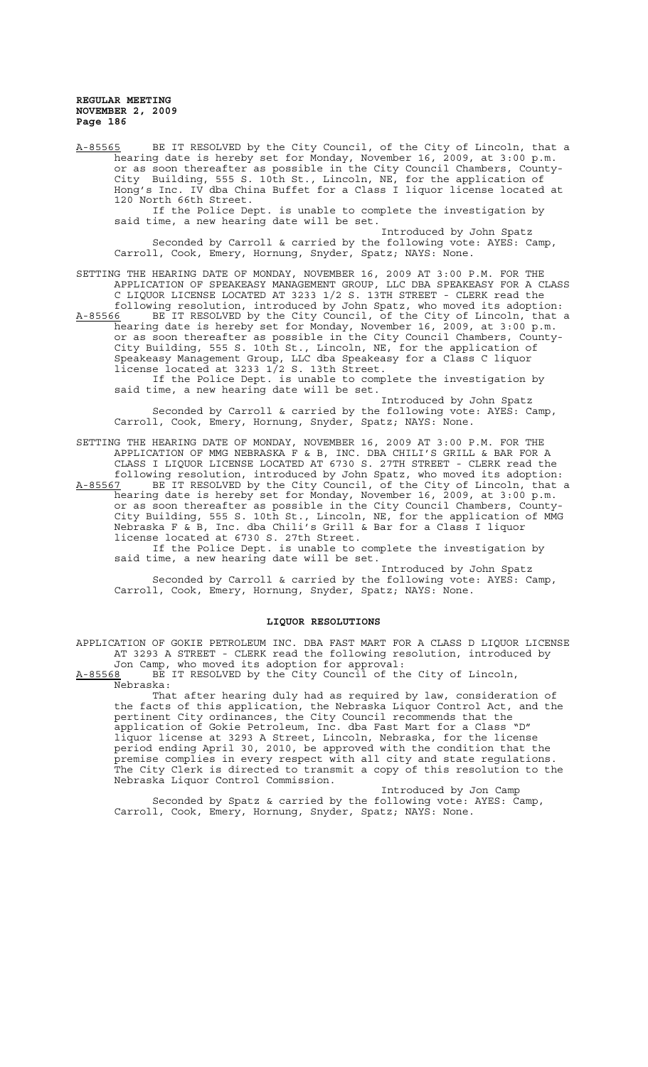A-85565 BE IT RESOLVED by the City Council, of the City of Lincoln, that a hearing date is hereby set for Monday, November 16, 2009, at 3:00 p.m. or as soon thereafter as possible in the City Council Chambers, County-City Building, 555 S. 10th St., Lincoln, NE, for the application of Hong's Inc. IV dba China Buffet for a Class I liquor license located at 120 North 66th Street.<br>If the Police Dept. is unable to complete the investigation by

If the Police Dept. is unable to complete the investigation by said time, a new hearing date will be set.

Introduced by John Spatz Seconded by Carroll & carried by the following vote: AYES: Camp, Carroll, Cook, Emery, Hornung, Snyder, Spatz; NAYS: None.

SETTING THE HEARING DATE OF MONDAY, NOVEMBER 16, 2009 AT 3:00 P.M. FOR THE APPLICATION OF SPEAKEASY MANAGEMENT GROUP, LLC DBA SPEAKEASY FOR A CLASS C LIQUOR LICENSE LOCATED AT 3233 1/2 S. 13TH STREET - CLERK read the following resolution, introduced by John Spatz, who moved its adoption: A-85566 BE IT RESOLVED by the City Council, of the City of Lincoln, that a hearing date is hereby set for Monday, November 16, 2009, at 3:00 p.m. or as soon thereafter as possible in the City Council Chambers, County-City Building, 555 S. 10th St., Lincoln, NE, for the application of Speakeasy Management Group, LLC dba Speakeasy for a Class C liquor license located at 3233 1/2 S. 13th Street.

If the Police Dept. is unable to complete the investigation by said time, a new hearing date will be set.

Introduced by John Spatz Seconded by Carroll & carried by the following vote: AYES: Camp, Carroll, Cook, Emery, Hornung, Snyder, Spatz; NAYS: None.

SETTING THE HEARING DATE OF MONDAY, NOVEMBER 16, 2009 AT 3:00 P.M. FOR THE APPLICATION OF MMG NEBRASKA F & B, INC. DBA CHILI'S GRILL & BAR FOR A CLASS I LIQUOR LICENSE LOCATED AT 6730 S. 27TH STREET - CLERK read the

following resolution, introduced by John Spatz, who moved its adoption: A-85567 BE IT RESOLVED by the City Council, of the City of Lincoln, that a hearing date is hereby set for Monday, November 16, 2009, at 3:00 p.m. or as soon thereafter as possible in the City Council Chambers, County-City Building, 555 S. 10th St., Lincoln, NE, for the application of MMG Nebraska F & B, Inc. dba Chili's Grill & Bar for a Class I liquor license located at 6730 S. 27th Street.

If the Police Dept. is unable to complete the investigation by said time, a new hearing date will be set.

Introduced by John Spatz Seconded by Carroll & carried by the following vote: AYES: Camp, Carroll, Cook, Emery, Hornung, Snyder, Spatz; NAYS: None.

#### **LIQUOR RESOLUTIONS**

APPLICATION OF GOKIE PETROLEUM INC. DBA FAST MART FOR A CLASS D LIQUOR LICENSE AT 3293 A STREET - CLERK read the following resolution, introduced by Jon Camp, who moved its adoption for approval:

A-85568 BE IT RESOLVED by the City Council of the City of Lincoln, Nebraska:

That after hearing duly had as required by law, consideration of the facts of this application, the Nebraska Liquor Control Act, and the pertinent City ordinances, the City Council recommends that the application of Gokie Petroleum, Inc. dba Fast Mart for a Class "D" liquor license at 3293 A Street, Lincoln, Nebraska, for the license period ending April 30, 2010, be approved with the condition that the premise complies in every respect with all city and state regulations. The City Clerk is directed to transmit a copy of this resolution to the Nebraska Liquor Control Commission.

Introduced by Jon Camp Seconded by Spatz & carried by the following vote: AYES: Camp, Carroll, Cook, Emery, Hornung, Snyder, Spatz; NAYS: None.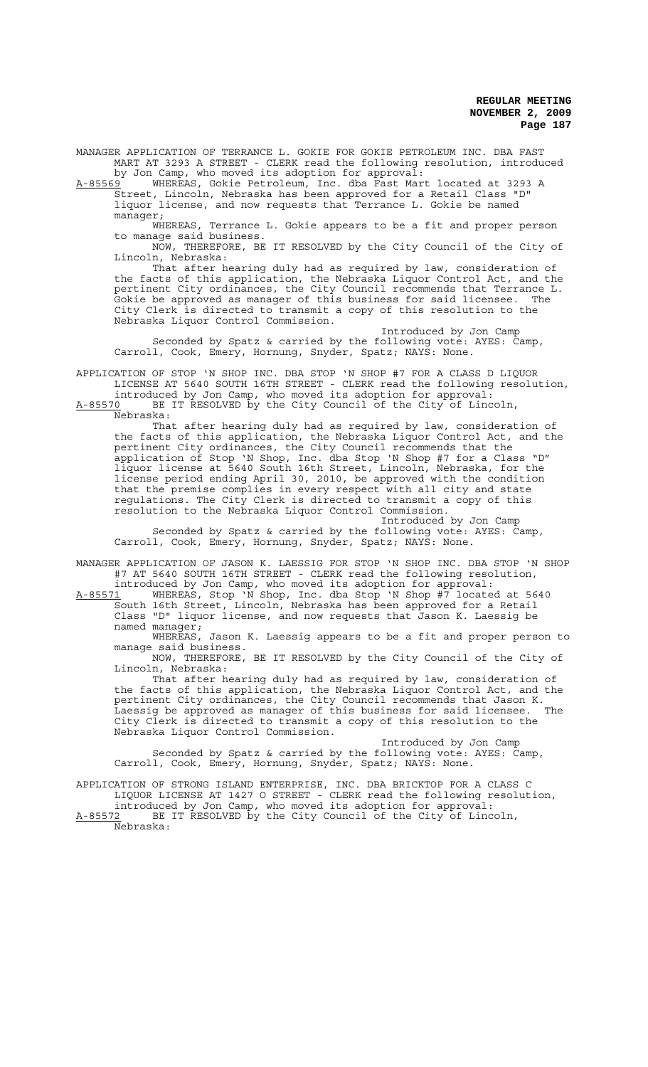MANAGER APPLICATION OF TERRANCE L. GOKIE FOR GOKIE PETROLEUM INC. DBA FAST MART AT 3293 A STREET - CLERK read the following resolution, introduced by Jon Camp, who moved its adoption for approval:

A-85569 WHEREAS, Gokie Petroleum, Inc. dba Fast Mart located at 3293 A Street, Lincoln, Nebraska has been approved for a Retail Class "D" liquor license, and now requests that Terrance L. Gokie be named manager;

WHEREAS, Terrance L. Gokie appears to be a fit and proper person to manage said business.

NOW, THEREFORE, BE IT RESOLVED by the City Council of the City of Lincoln, Nebraska:

That after hearing duly had as required by law, consideration of the facts of this application, the Nebraska Liquor Control Act, and the pertinent City ordinances, the City Council recommends that Terrance L. Gokie be approved as manager of this business for said licensee. The City Clerk is directed to transmit a copy of this resolution to the Nebraska Liquor Control Commission.

Introduced by Jon Camp Seconded by Spatz & carried by the following vote: AYES: Camp, Carroll, Cook, Emery, Hornung, Snyder, Spatz; NAYS: None.

APPLICATION OF STOP 'N SHOP INC. DBA STOP 'N SHOP #7 FOR A CLASS D LIQUOR LICENSE AT 5640 SOUTH 16TH STREET - CLERK read the following resolution, introduced by Jon Camp, who moved its adoption for approval:

A-85570 BE IT RESOLVED by the City Council of the City of Lincoln, Nebraska:

That after hearing duly had as required by law, consideration of the facts of this application, the Nebraska Liquor Control Act, and the pertinent City ordinances, the City Council recommends that the application of Stop 'N Shop, Inc. dba Stop 'N Shop #7 for a Class "D" liquor license at 5640 South 16th Street, Lincoln, Nebraska, for the license period ending April 30, 2010, be approved with the condition that the premise complies in every respect with all city and state regulations. The City Clerk is directed to transmit a copy of this resolution to the Nebraska Liquor Control Commission.

Introduced by Jon Camp Seconded by Spatz & carried by the following vote: AYES: Camp, Carroll, Cook, Emery, Hornung, Snyder, Spatz; NAYS: None.

MANAGER APPLICATION OF JASON K. LAESSIG FOR STOP 'N SHOP INC. DBA STOP 'N SHOP #7 AT 5640 SOUTH 16TH STREET - CLERK read the following resolution, introduced by Jon Camp, who moved its adoption for approval:

A-85571 WHEREAS, Stop 'N Shop, Inc. dba Stop 'N Shop #7 located at 5640 South 16th Street, Lincoln, Nebraska has been approved for a Retail Class "D" liquor license, and now requests that Jason K. Laessig be named manager;

WHEREAS, Jason K. Laessig appears to be a fit and proper person to manage said business.

NOW, THEREFORE, BE IT RESOLVED by the City Council of the City of Lincoln, Nebraska:

That after hearing duly had as required by law, consideration of the facts of this application, the Nebraska Liquor Control Act, and the pertinent City ordinances, the City Council recommends that Jason K. .<br>Laessig be approved as manager of this business for said licensee. The City Clerk is directed to transmit a copy of this resolution to the Nebraska Liquor Control Commission.

Introduced by Jon Camp Seconded by Spatz & carried by the following vote: AYES: Camp, Carroll, Cook, Emery, Hornung, Snyder, Spatz; NAYS: None.

APPLICATION OF STRONG ISLAND ENTERPRISE, INC. DBA BRICKTOP FOR A CLASS C LIQUOR LICENSE AT 1427 O STREET - CLERK read the following resolution,

introduced by Jon Camp, who moved its adoption for approval: A-85572 BE IT RESOLVED by the City Council of the City of Lincoln, Nebraska: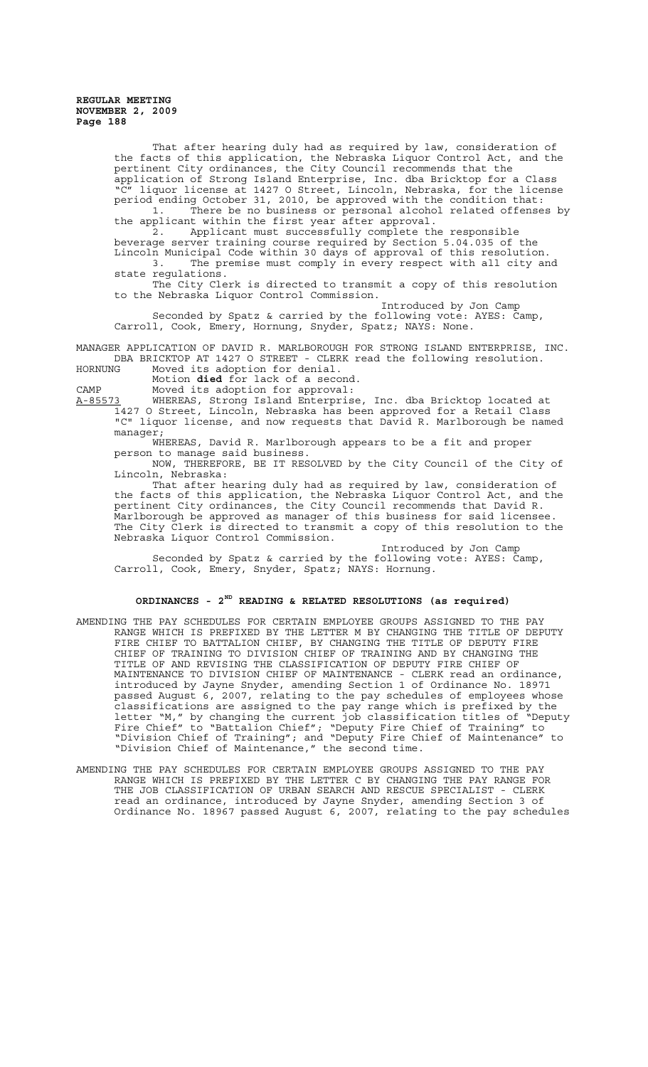> That after hearing duly had as required by law, consideration of the facts of this application, the Nebraska Liquor Control Act, and the pertinent City ordinances, the City Council recommends that the application of Strong Island Enterprise, Inc. dba Bricktop for a Class "C" liquor license at 1427 O Street, Lincoln, Nebraska, for the license period ending October 31, 2010, be approved with the condition that: 1. There be no business or personal alcohol related offenses by the applicant within the first year after approval.

2. Applicant must successfully complete the responsible beverage server training course required by Section 5.04.035 of the Lincoln Municipal Code within 30 days of approval of this resolution. 3. The premise must comply in every respect with all city and state regulations.

The City Clerk is directed to transmit a copy of this resolution to the Nebraska Liquor Control Commission.

Introduced by Jon Camp Seconded by Spatz & carried by the following vote: AYES: Camp, Carroll, Cook, Emery, Hornung, Snyder, Spatz; NAYS: None.

MANAGER APPLICATION OF DAVID R. MARLBOROUGH FOR STRONG ISLAND ENTERPRISE, INC. DBA BRICKTOP AT 1427 O STREET - CLERK read the following resolution.<br>HORNUNG Moved its adoption for denial. Moved its adoption for denial.

Motion **died** for lack of a second.

CAMP Moved its adoption for approval:

A-85573 WHEREAS, Strong Island Enterprise, Inc. dba Bricktop located at 1427 O Street, Lincoln, Nebraska has been approved for a Retail Class "C" liquor license, and now requests that David R. Marlborough be named manager;

WHEREAS, David R. Marlborough appears to be a fit and proper person to manage said business.

NOW, THEREFORE, BE IT RESOLVED by the City Council of the City of Lincoln, Nebraska:

That after hearing duly had as required by law, consideration of the facts of this application, the Nebraska Liquor Control Act, and the pertinent City ordinances, the City Council recommends that David R. Marlborough be approved as manager of this business for said licensee. The City Clerk is directed to transmit a copy of this resolution to the Nebraska Liquor Control Commission.

Introduced by Jon Camp Seconded by Spatz & carried by the following vote: AYES: Camp, Carroll, Cook, Emery, Snyder, Spatz; NAYS: Hornung.

## **ORDINANCES - 2ND READING & RELATED RESOLUTIONS (as required)**

- AMENDING THE PAY SCHEDULES FOR CERTAIN EMPLOYEE GROUPS ASSIGNED TO THE PAY RANGE WHICH IS PREFIXED BY THE LETTER M BY CHANGING THE TITLE OF DEPUTY FIRE CHIEF TO BATTALION CHIEF, BY CHANGING THE TITLE OF DEPUTY FIRE CHIEF OF TRAINING TO DIVISION CHIEF OF TRAINING AND BY CHANGING THE TITLE OF AND REVISING THE CLASSIFICATION OF DEPUTY FIRE CHIEF OF MAINTENANCE TO DIVISION CHIEF OF MAINTENANCE - CLERK read an ordinance, introduced by Jayne Snyder, amending Section 1 of Ordinance No. 18971 passed August 6, 2007, relating to the pay schedules of employees whose classifications are assigned to the pay range which is prefixed by the letter "M," by changing the current job classification titles of "Deputy Fire Chief" to "Battalion Chief"; "Deputy Fire Chief of Training" to "Division Chief of Training"; and "Deputy Fire Chief of Maintenance" to "Division Chief of Maintenance," the second time.
- AMENDING THE PAY SCHEDULES FOR CERTAIN EMPLOYEE GROUPS ASSIGNED TO THE PAY RANGE WHICH IS PREFIXED BY THE LETTER C BY CHANGING THE PAY RANGE FOR THE JOB CLASSIFICATION OF URBAN SEARCH AND RESCUE SPECIALIST - CLERK read an ordinance, introduced by Jayne Snyder, amending Section 3 of Ordinance No. 18967 passed August 6, 2007, relating to the pay schedules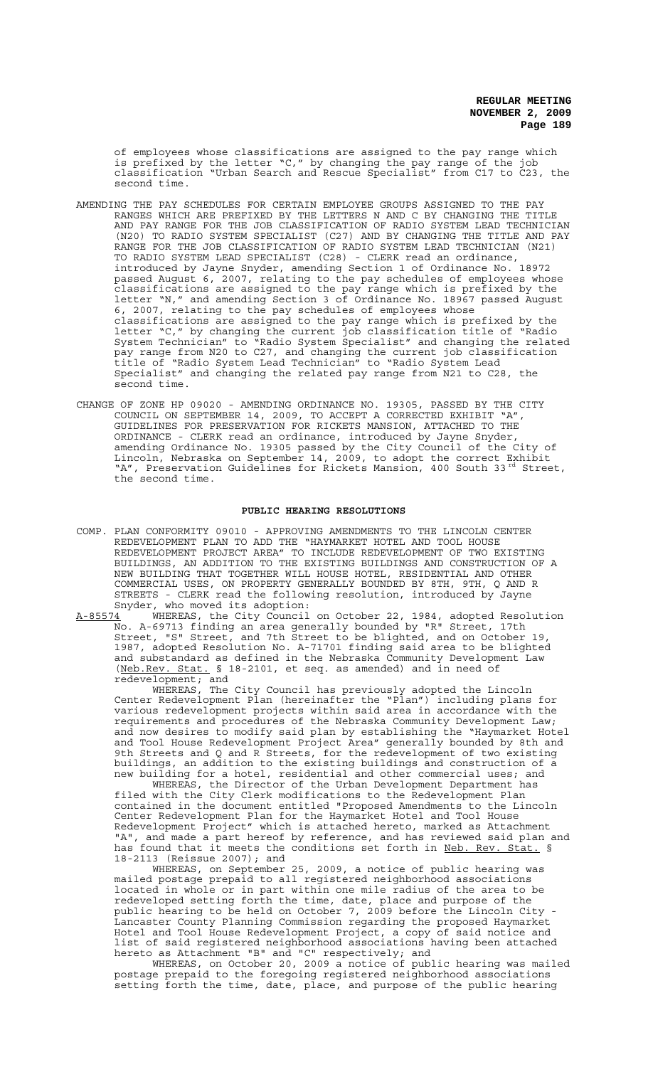of employees whose classifications are assigned to the pay range which is prefixed by the letter  $C,''$  by changing the pay range of the job classification "Urban Search and Rescue Specialist" from C17 to C23, the second time.

- AMENDING THE PAY SCHEDULES FOR CERTAIN EMPLOYEE GROUPS ASSIGNED TO THE PAY RANGES WHICH ARE PREFIXED BY THE LETTERS N AND C BY CHANGING THE TITLE AND PAY RANGE FOR THE JOB CLASSIFICATION OF RADIO SYSTEM LEAD TECHNICIAN (N20) TO RADIO SYSTEM SPECIALIST (C27) AND BY CHANGING THE TITLE AND PAY RANGE FOR THE JOB CLASSIFICATION OF RADIO SYSTEM LEAD TECHNICIAN (N21) TO RADIO SYSTEM LEAD SPECIALIST (C28) - CLERK read an ordinance, introduced by Jayne Snyder, amending Section 1 of Ordinance No. 18972 passed August 6, 2007, relating to the pay schedules of employees whose classifications are assigned to the pay range which is prefixed by the letter "N," and amending Section 3 of Ordinance No. 18967 passed August 6, 2007, relating to the pay schedules of employees whose classifications are assigned to the pay range which is prefixed by the letter "C," by changing the current job classification title of "Radio System Technician" to "Radio System Specialist" and changing the related pay range from N20 to C27, and changing the current job classification title of "Radio System Lead Technician" to "Radio System Lead Specialist" and changing the related pay range from N21 to C28, the second time.
- CHANGE OF ZONE HP 09020 AMENDING ORDINANCE NO. 19305, PASSED BY THE CITY COUNCIL ON SEPTEMBER 14, 2009, TO ACCEPT A CORRECTED EXHIBIT "A", GUIDELINES FOR PRESERVATION FOR RICKETS MANSION, ATTACHED TO THE ORDINANCE - CLERK read an ordinance, introduced by Jayne Snyder, amending Ordinance No. 19305 passed by the City Council of the City of Lincoln, Nebraska on September 14, 2009, to adopt the correct Exhibit "A", Preservation Guidelines for Rickets Mansion, 400 South 33rd Street, the second time.

### **PUBLIC HEARING RESOLUTIONS**

COMP. PLAN CONFORMITY 09010 - APPROVING AMENDMENTS TO THE LINCOLN CENTER REDEVELOPMENT PLAN TO ADD THE "HAYMARKET HOTEL AND TOOL HOUSE REDEVELOPMENT PROJECT AREA" TO INCLUDE REDEVELOPMENT OF TWO EXISTING BUILDINGS, AN ADDITION TO THE EXISTING BUILDINGS AND CONSTRUCTION OF A NEW BUILDING THAT TOGETHER WILL HOUSE HOTEL, RESIDENTIAL AND OTHER COMMERCIAL USES, ON PROPERTY GENERALLY BOUNDED BY 8TH, 9TH, Q AND R STREETS - CLERK read the following resolution, introduced by Jayne Snyder, who moved its adoption:

A-85574 WHEREAS, the City Council on October 22, 1984, adopted Resolution No. A-69713 finding an area generally bounded by "R" Street, 17th Street, "S" Street, and 7th Street to be blighted, and on October 19, 1987, adopted Resolution No. A-71701 finding said area to be blighted and substandard as defined in the Nebraska Community Development Law (Neb.Rev. Stat. § 18-2101, et seq. as amended) and in need of redevelopment; and

WHEREAS, The City Council has previously adopted the Lincoln Center Redevelopment Plan (hereinafter the "Plan") including plans for various redevelopment projects within said area in accordance with the requirements and procedures of the Nebraska Community Development Law; and now desires to modify said plan by establishing the "Haymarket Hotel and Tool House Redevelopment Project Area" generally bounded by 8th and 9th Streets and Q and R Streets, for the redevelopment of two existing buildings, an addition to the existing buildings and construction of a new building for a hotel, residential and other commercial uses; and

WHEREAS, the Director of the Urban Development Department has filed with the City Clerk modifications to the Redevelopment Plan contained in the document entitled "Proposed Amendments to the Lincoln Center Redevelopment Plan for the Haymarket Hotel and Tool House Redevelopment Project" which is attached hereto, marked as Attachment "A", and made a part hereof by reference, and has reviewed said plan and has found that it meets the conditions set forth in <u>Neb. Rev. Stat.</u> § 18-2113 (Reissue 2007); and

WHEREAS, on September 25, 2009, a notice of public hearing was mailed postage prepaid to all registered neighborhood associations located in whole or in part within one mile radius of the area to be redeveloped setting forth the time, date, place and purpose of the public hearing to be held on October 7, 2009 before the Lincoln City - Lancaster County Planning Commission regarding the proposed Haymarket Hotel and Tool House Redevelopment Project, a copy of said notice and list of said registered neighborhood associations having been attached hereto as Attachment "B" and "C" respectively; and

WHEREAS, on October 20, 2009 a notice of public hearing was mailed postage prepaid to the foregoing registered neighborhood associations setting forth the time, date, place, and purpose of the public hearing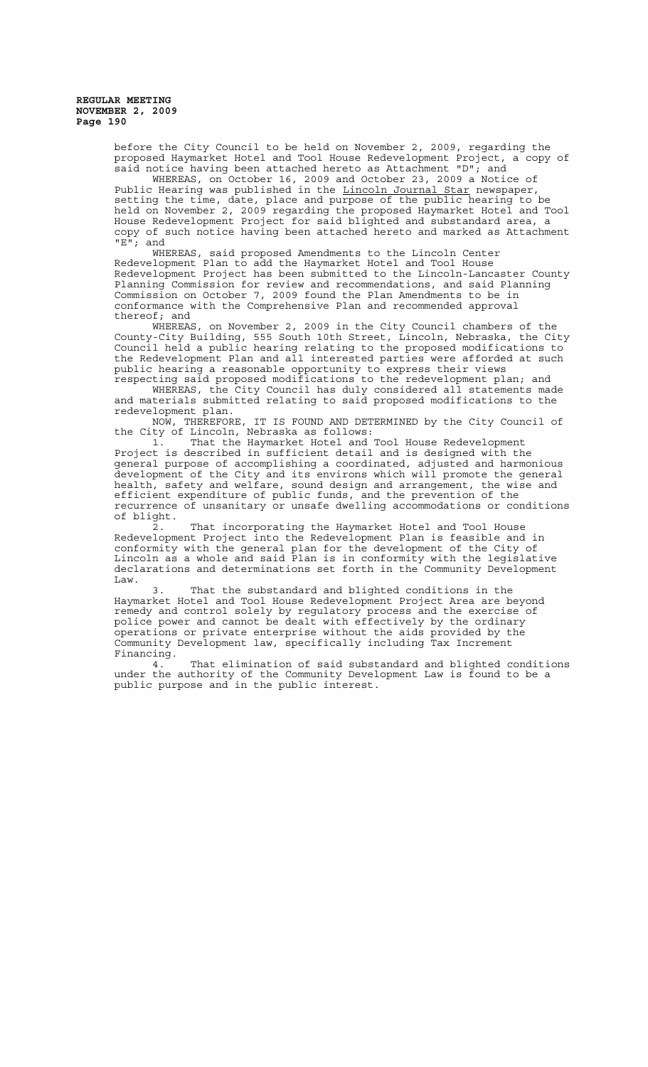> before the City Council to be held on November 2, 2009, regarding the proposed Haymarket Hotel and Tool House Redevelopment Project, a copy of said notice having been attached hereto as Attachment "D"; and

> WHEREAS, on October 16, 2009 and October 23, 2009 a Notice of Public Hearing was published in the Lincoln Journal Star newspaper, setting the time, date, place and purpose of the public hearing to be held on November 2, 2009 regarding the proposed Haymarket Hotel and Tool House Redevelopment Project for said blighted and substandard area, a copy of such notice having been attached hereto and marked as Attachment  $"E"$ ; and

> WHEREAS, said proposed Amendments to the Lincoln Center Redevelopment Plan to add the Haymarket Hotel and Tool House Redevelopment Project has been submitted to the Lincoln-Lancaster County Planning Commission for review and recommendations, and said Planning Commission on October 7, 2009 found the Plan Amendments to be in conformance with the Comprehensive Plan and recommended approval thereof; and

> WHEREAS, on November 2, 2009 in the City Council chambers of the County-City Building, 555 South 10th Street, Lincoln, Nebraska, the City Council held a public hearing relating to the proposed modifications to the Redevelopment Plan and all interested parties were afforded at such public hearing a reasonable opportunity to express their views

respecting said proposed modifications to the redevelopment plan; and WHEREAS, the City Council has duly considered all statements made and materials submitted relating to said proposed modifications to the redevelopment plan.

NOW, THEREFORE, IT IS FOUND AND DETERMINED by the City Council of the City of Lincoln, Nebraska as follows:

1. That the Haymarket Hotel and Tool House Redevelopment Project is described in sufficient detail and is designed with the general purpose of accomplishing a coordinated, adjusted and harmonious development of the City and its environs which will promote the general health, safety and welfare, sound design and arrangement, the wise and efficient expenditure of public funds, and the prevention of the recurrence of unsanitary or unsafe dwelling accommodations or conditions of blight.

2. That incorporating the Haymarket Hotel and Tool House Redevelopment Project into the Redevelopment Plan is feasible and in conformity with the general plan for the development of the City of Lincoln as a whole and said Plan is in conformity with the legislative declarations and determinations set forth in the Community Development Law.

3. That the substandard and blighted conditions in the Haymarket Hotel and Tool House Redevelopment Project Area are beyond remedy and control solely by regulatory process and the exercise of police power and cannot be dealt with effectively by the ordinary operations or private enterprise without the aids provided by the Community Development law, specifically including Tax Increment Financing.<br>4.

That elimination of said substandard and blighted conditions under the authority of the Community Development Law is found to be a public purpose and in the public interest.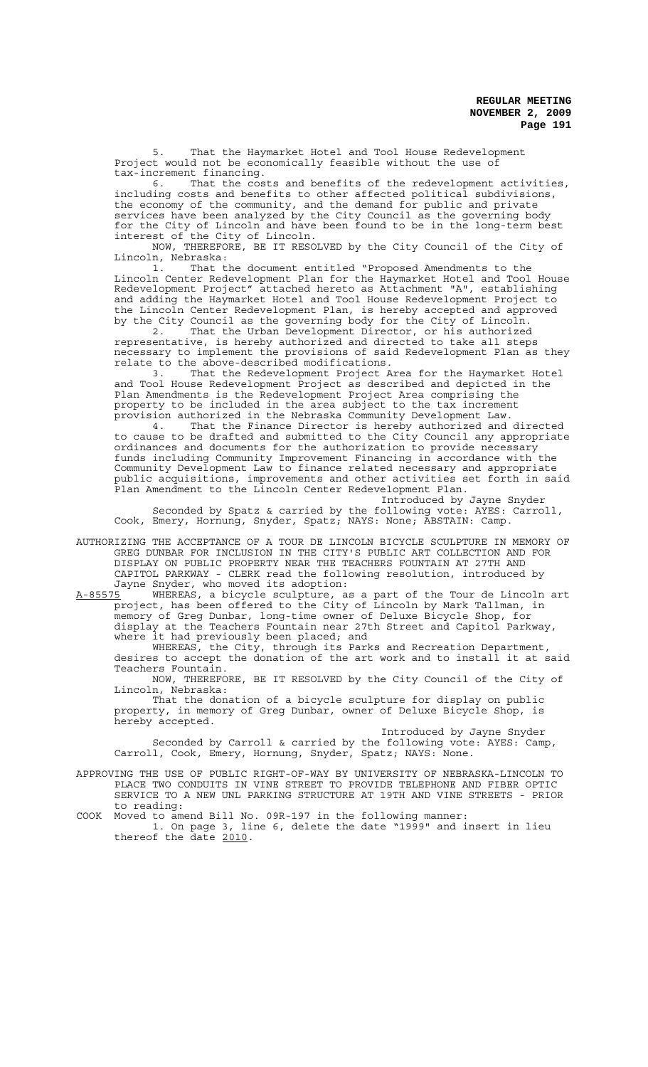That the Haymarket Hotel and Tool House Redevelopment Project would not be economically feasible without the use of tax-increment financing.

6. That the costs and benefits of the redevelopment activities, including costs and benefits to other affected political subdivisions, the economy of the community, and the demand for public and private services have been analyzed by the City Council as the governing body for the City of Lincoln and have been found to be in the long-term best interest of the City of Lincoln.

NOW, THEREFORE, BE IT RESOLVED by the City Council of the City of Lincoln, Nebraska:

1. That the document entitled "Proposed Amendments to the Lincoln Center Redevelopment Plan for the Haymarket Hotel and Tool House Redevelopment Project" attached hereto as Attachment "A", establishing and adding the Haymarket Hotel and Tool House Redevelopment Project to the Lincoln Center Redevelopment Plan, is hereby accepted and approved by the City Council as the governing body for the City of Lincoln.

2. That the Urban Development Director, or his authorized representative, is hereby authorized and directed to take all steps necessary to implement the provisions of said Redevelopment Plan as they relate to the above-described modifications.<br>3. That the Redevelopment Project A

That the Redevelopment Project Area for the Haymarket Hotel and Tool House Redevelopment Project as described and depicted in the Plan Amendments is the Redevelopment Project Area comprising the property to be included in the area subject to the tax increment provision authorized in the Nebraska Community Development Law.

4. That the Finance Director is hereby authorized and directed to cause to be drafted and submitted to the City Council any appropriate ordinances and documents for the authorization to provide necessary funds including Community Improvement Financing in accordance with the Community Development Law to finance related necessary and appropriate public acquisitions, improvements and other activities set forth in said Plan Amendment to the Lincoln Center Redevelopment Plan.

Introduced by Jayne Snyder Seconded by Spatz & carried by the following vote: AYES: Carroll, Cook, Emery, Hornung, Snyder, Spatz; NAYS: None; ABSTAIN: Camp.

AUTHORIZING THE ACCEPTANCE OF A TOUR DE LINCOLN BICYCLE SCULPTURE IN MEMORY OF GREG DUNBAR FOR INCLUSION IN THE CITY'S PUBLIC ART COLLECTION AND FOR DISPLAY ON PUBLIC PROPERTY NEAR THE TEACHERS FOUNTAIN AT 27TH AND CAPITOL PARKWAY - CLERK read the following resolution, introduced by Jayne Snyder, who moved its adoption:

A-85575 WHEREAS, a bicycle sculpture, as a part of the Tour de Lincoln art project, has been offered to the City of Lincoln by Mark Tallman, in memory of Greg Dunbar, long-time owner of Deluxe Bicycle Shop, for display at the Teachers Fountain near 27th Street and Capitol Parkway, where it had previously been placed; and

WHEREAS, the City, through its Parks and Recreation Department, desires to accept the donation of the art work and to install it at said Teachers Fountain.

NOW, THEREFORE, BE IT RESOLVED by the City Council of the City of Lincoln, Nebraska:

That the donation of a bicycle sculpture for display on public property, in memory of Greg Dunbar, owner of Deluxe Bicycle Shop, is hereby accepted.

Introduced by Jayne Snyder Seconded by Carroll & carried by the following vote: AYES: Camp, Carroll, Cook, Emery, Hornung, Snyder, Spatz; NAYS: None.

APPROVING THE USE OF PUBLIC RIGHT-OF-WAY BY UNIVERSITY OF NEBRASKA-LINCOLN TO PLACE TWO CONDUITS IN VINE STREET TO PROVIDE TELEPHONE AND FIBER OPTIC SERVICE TO A NEW UNL PARKING STRUCTURE AT 19TH AND VINE STREETS - PRIOR to reading:

COOK Moved to amend Bill No. 09R-197 in the following manner: 1. On page 3, line 6, delete the date "1999" and insert in lieu

thereof the date 2010.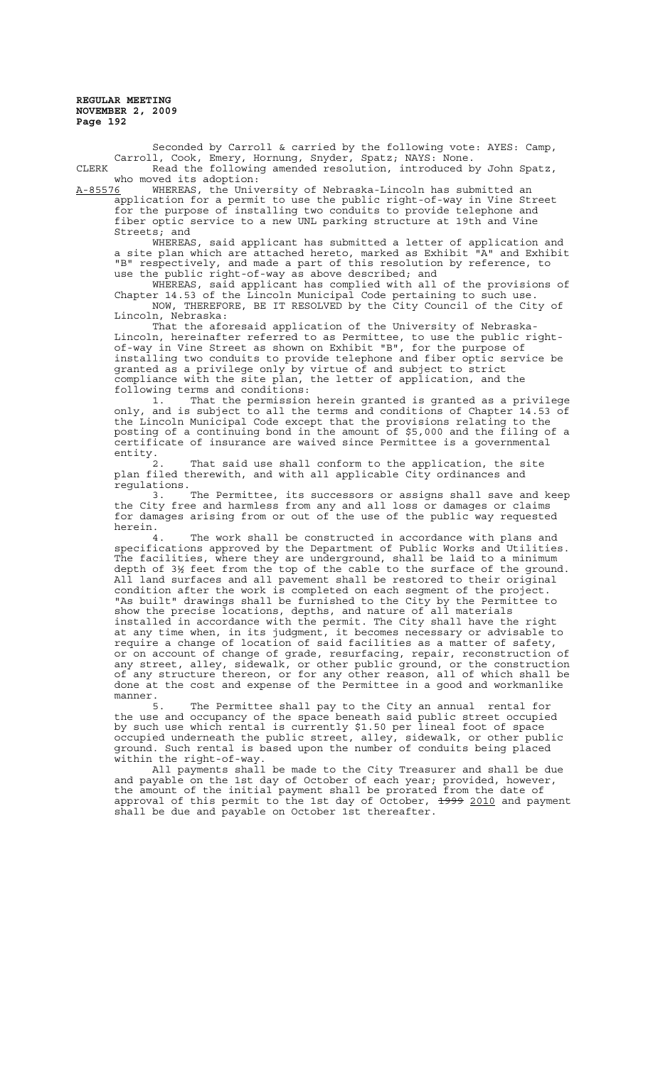Seconded by Carroll & carried by the following vote: AYES: Camp, Carroll, Cook, Emery, Hornung, Snyder, Spatz; NAYS: None. CLERK Read the following amended resolution, introduced by John Spatz,

who moved its adoption:<br><u>A-85576</u> WHEREAS, the Univ WHEREAS, the University of Nebraska-Lincoln has submitted an application for a permit to use the public right-of-way in Vine Street for the purpose of installing two conduits to provide telephone and fiber optic service to a new UNL parking structure at 19th and Vine Streets; and<br>WHEREAS,

said applicant has submitted a letter of application and a site plan which are attached hereto, marked as Exhibit "A" and Exhibit "B" respectively, and made a part of this resolution by reference, to use the public right-of-way as above described; and

WHEREAS, said applicant has complied with all of the provisions of Chapter 14.53 of the Lincoln Municipal Code pertaining to such use. NOW, THEREFORE, BE IT RESOLVED by the City Council of the City of Lincoln, Nebraska:

That the aforesaid application of the University of Nebraska-Lincoln, hereinafter referred to as Permittee, to use the public rightof-way in Vine Street as shown on Exhibit "B", for the purpose of installing two conduits to provide telephone and fiber optic service be granted as a privilege only by virtue of and subject to strict compliance with the site plan, the letter of application, and the following terms and conditions:

1. That the permission herein granted is granted as a privilege only, and is subject to all the terms and conditions of Chapter 14.53 of the Lincoln Municipal Code except that the provisions relating to the posting of a continuing bond in the amount of \$5,000 and the filing of a certificate of insurance are waived since Permittee is a governmental entity.<br>2.

2. That said use shall conform to the application, the site plan filed therewith, and with all applicable City ordinances and regulations.

3. The Permittee, its successors or assigns shall save and keep the City free and harmless from any and all loss or damages or claims for damages arising from or out of the use of the public way requested herein.

The work shall be constructed in accordance with plans and specifications approved by the Department of Public Works and Utilities. The facilities, where they are underground, shall be laid to a minimum depth of 3½ feet from the top of the cable to the surface of the ground. All land surfaces and all pavement shall be restored to their original condition after the work is completed on each segment of the project. "As built" drawings shall be furnished to the City by the Permittee to show the precise locations, depths, and nature of all materials installed in accordance with the permit. The City shall have the right at any time when, in its judgment, it becomes necessary or advisable to require a change of location of said facilities as a matter of safety, or on account of change of grade, resurfacing, repair, reconstruction of any street, alley, sidewalk, or other public ground, or the construction of any structure thereon, or for any other reason, all of which shall be done at the cost and expense of the Permittee in a good and workmanlike manner.

5. The Permittee shall pay to the City an annual rental for the use and occupancy of the space beneath said public street occupied by such use which rental is currently \$1.50 per lineal foot of space occupied underneath the public street, alley, sidewalk, or other public ground. Such rental is based upon the number of conduits being placed within the right-of-way.

All payments shall be made to the City Treasurer and shall be due and payable on the 1st day of October of each year; provided, however, the amount of the initial payment shall be prorated from the date of approval of this permit to the 1st day of October, <del>1999</del> 2010 and payment shall be due and payable on October 1st thereafter.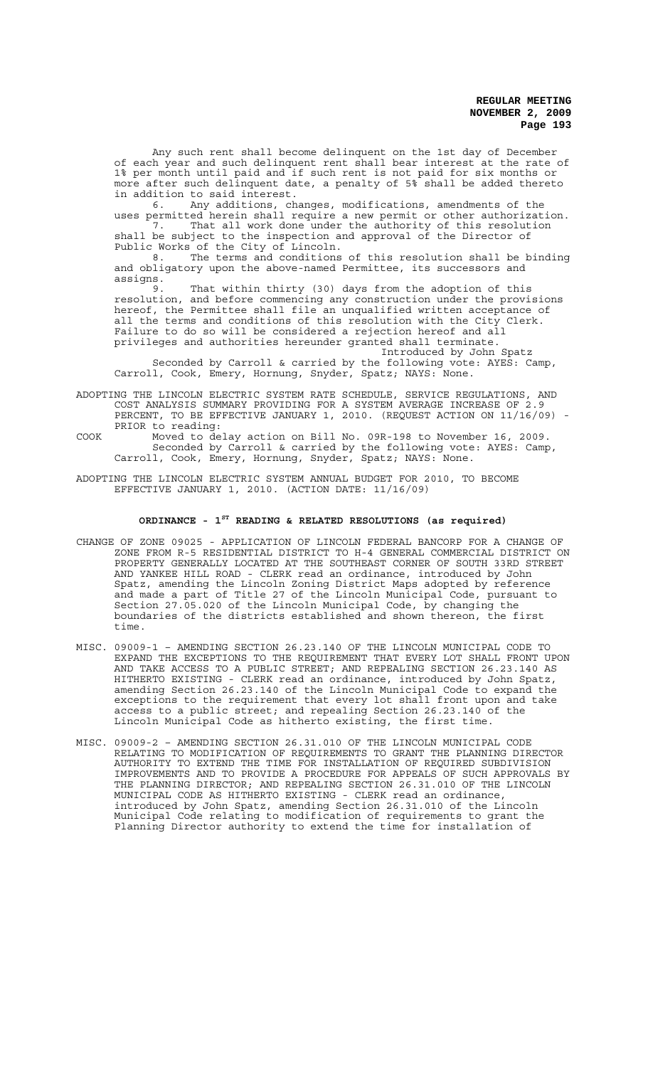Any such rent shall become delinquent on the 1st day of December of each year and such delinquent rent shall bear interest at the rate of 1% per month until paid and if such rent is not paid for six months or more after such delinquent date, a penalty of 5% shall be added thereto in addition to said interest.

6. Any additions, changes, modifications, amendments of the uses permitted herein shall require a new permit or other authorization. 7. That all work done under the authority of this resolution shall be subject to the inspection and approval of the Director of Public Works of the City of Lincoln.

8. The terms and conditions of this resolution shall be binding and obligatory upon the above-named Permittee, its successors and assigns.

9. That within thirty (30) days from the adoption of this resolution, and before commencing any construction under the provisions hereof, the Permittee shall file an unqualified written acceptance of all the terms and conditions of this resolution with the City Clerk. Failure to do so will be considered a rejection hereof and all privileges and authorities hereunder granted shall terminate.

Introduced by John Spatz Seconded by Carroll & carried by the following vote: AYES: Camp, Carroll, Cook, Emery, Hornung, Snyder, Spatz; NAYS: None.

ADOPTING THE LINCOLN ELECTRIC SYSTEM RATE SCHEDULE, SERVICE REGULATIONS, AND COST ANALYSIS SUMMARY PROVIDING FOR A SYSTEM AVERAGE INCREASE OF 2.9 PERCENT, TO BE EFFECTIVE JANUARY 1, 2010. (REQUEST ACTION ON 11/16/09) -PRIOR to reading:

COOK Moved to delay action on Bill No. 09R-198 to November 16, 2009. Seconded by Carroll & carried by the following vote: AYES: Camp, Carroll, Cook, Emery, Hornung, Snyder, Spatz; NAYS: None.

ADOPTING THE LINCOLN ELECTRIC SYSTEM ANNUAL BUDGET FOR 2010, TO BECOME EFFECTIVE JANUARY 1, 2010. (ACTION DATE: 11/16/09)

# **ORDINANCE - 1ST READING & RELATED RESOLUTIONS (as required)**

- CHANGE OF ZONE 09025 APPLICATION OF LINCOLN FEDERAL BANCORP FOR A CHANGE OF ZONE FROM R-5 RESIDENTIAL DISTRICT TO H-4 GENERAL COMMERCIAL DISTRICT ON PROPERTY GENERALLY LOCATED AT THE SOUTHEAST CORNER OF SOUTH 33RD STREET AND YANKEE HILL ROAD - CLERK read an ordinance, introduced by John Spatz, amending the Lincoln Zoning District Maps adopted by reference and made a part of Title 27 of the Lincoln Municipal Code, pursuant to Section 27.05.020 of the Lincoln Municipal Code, by changing the boundaries of the districts established and shown thereon, the first time.
- MISC. 09009-1 AMENDING SECTION 26.23.140 OF THE LINCOLN MUNICIPAL CODE TO EXPAND THE EXCEPTIONS TO THE REQUIREMENT THAT EVERY LOT SHALL FRONT UPON AND TAKE ACCESS TO A PUBLIC STREET; AND REPEALING SECTION 26.23.140 AS HITHERTO EXISTING - CLERK read an ordinance, introduced by John Spatz, amending Section 26.23.140 of the Lincoln Municipal Code to expand the exceptions to the requirement that every lot shall front upon and take access to a public street; and repealing Section 26.23.140 of the Lincoln Municipal Code as hitherto existing, the first time.
- MISC. 09009-2 AMENDING SECTION 26.31.010 OF THE LINCOLN MUNICIPAL CODE RELATING TO MODIFICATION OF REQUIREMENTS TO GRANT THE PLANNING DIRECTOR AUTHORITY TO EXTEND THE TIME FOR INSTALLATION OF REQUIRED SUBDIVISION IMPROVEMENTS AND TO PROVIDE A PROCEDURE FOR APPEALS OF SUCH APPROVALS BY THE PLANNING DIRECTOR; AND REPEALING SECTION 26.31.010 OF THE LINCOLN MUNICIPAL CODE AS HITHERTO EXISTING - CLERK read an ordinance, introduced by John Spatz, amending Section 26.31.010 of the Lincoln Municipal Code relating to modification of requirements to grant the Planning Director authority to extend the time for installation of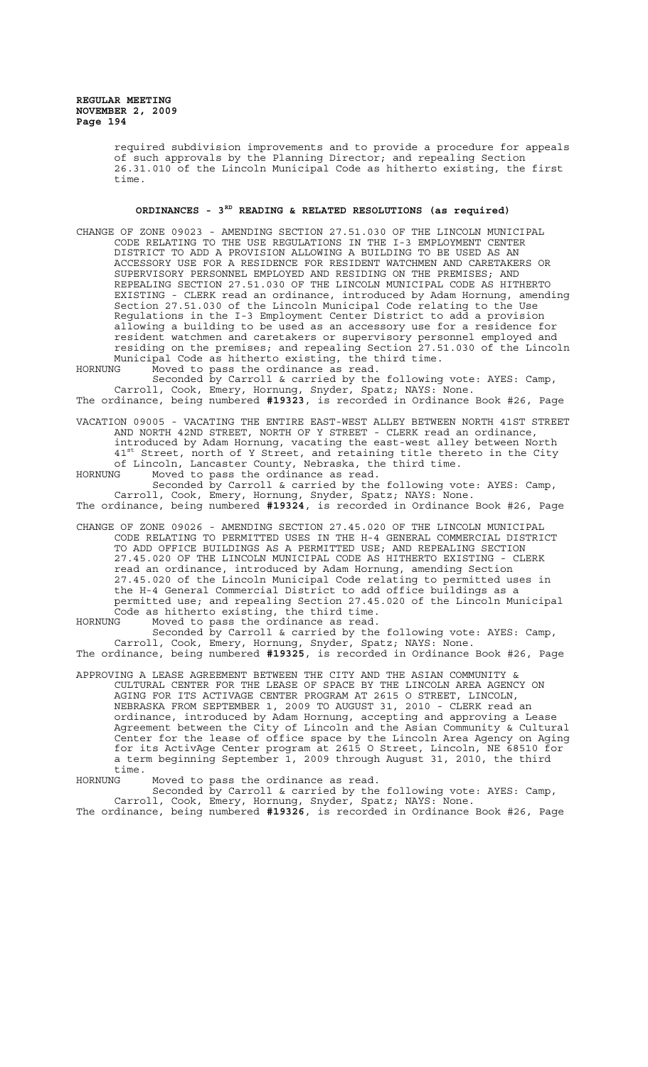required subdivision improvements and to provide a procedure for appeals of such approvals by the Planning Director; and repealing Section 26.31.010 of the Lincoln Municipal Code as hitherto existing, the first time.

# **ORDINANCES - 3RD READING & RELATED RESOLUTIONS (as required)**

CHANGE OF ZONE 09023 - AMENDING SECTION 27.51.030 OF THE LINCOLN MUNICIPAL CODE RELATING TO THE USE REGULATIONS IN THE I-3 EMPLOYMENT CENTER DISTRICT TO ADD A PROVISION ALLOWING A BUILDING TO BE USED AS AN ACCESSORY USE FOR A RESIDENCE FOR RESIDENT WATCHMEN AND CARETAKERS OR SUPERVISORY PERSONNEL EMPLOYED AND RESIDING ON THE PREMISES; AND REPEALING SECTION 27.51.030 OF THE LINCOLN MUNICIPAL CODE AS HITHERTO EXISTING - CLERK read an ordinance, introduced by Adam Hornung, amending Section 27.51.030 of the Lincoln Municipal Code relating to the Use Regulations in the I-3 Employment Center District to add a provision allowing a building to be used as an accessory use for a residence for resident watchmen and caretakers or supervisory personnel employed and residing on the premises; and repealing Section 27.51.030 of the Lincoln Municipal Code as hitherto existing, the third time.<br>HORNUNG Moved to pass the ordinance as read.

Moved to pass the ordinance as read. Seconded by Carroll & carried by the following vote: AYES: Camp, Carroll, Cook, Emery, Hornung, Snyder, Spatz; NAYS: None. The ordinance, being numbered **#19323**, is recorded in Ordinance Book #26, Page

VACATION 09005 - VACATING THE ENTIRE EAST-WEST ALLEY BETWEEN NORTH 41ST STREET AND NORTH 42ND STREET, NORTH OF Y STREET - CLERK read an ordinance, introduced by Adam Hornung, vacating the east-west alley between North 41<sup>st</sup> Street, north of Y Street, and retaining title thereto in the City of Lincoln, Lancaster County, Nebraska, the third time. HORNUNG Moved to pass the ordinance as read.

Seconded by Carroll & carried by the following vote: AYES: Camp, Carroll, Cook, Emery, Hornung, Snyder, Spatz; NAYS: None. The ordinance, being numbered **#19324**, is recorded in Ordinance Book #26, Page

CHANGE OF ZONE 09026 - AMENDING SECTION 27.45.020 OF THE LINCOLN MUNICIPAL CODE RELATING TO PERMITTED USES IN THE H-4 GENERAL COMMERCIAL DISTRICT TO ADD OFFICE BUILDINGS AS A PERMITTED USE; AND REPEALING SECTION 27.45.020 OF THE LINCOLN MUNICIPAL CODE AS HITHERTO EXISTING - CLERK read an ordinance, introduced by Adam Hornung, amending Section 27.45.020 of the Lincoln Municipal Code relating to permitted uses in the H-4 General Commercial District to add office buildings as a permitted use; and repealing Section 27.45.020 of the Lincoln Municipal .<br>Code as hitherto existing, the third time.

HORNUNG Moved to pass the ordinance as read. Seconded by Carroll & carried by the following vote: AYES: Camp, Carroll, Cook, Emery, Hornung, Snyder, Spatz; NAYS: None. The ordinance, being numbered **#19325**, is recorded in Ordinance Book #26, Page

APPROVING A LEASE AGREEMENT BETWEEN THE CITY AND THE ASIAN COMMUNITY & CULTURAL CENTER FOR THE LEASE OF SPACE BY THE LINCOLN AREA AGENCY ON AGING FOR ITS ACTIVAGE CENTER PROGRAM AT 2615 O STREET, LINCOLN, NEBRASKA FROM SEPTEMBER 1, 2009 TO AUGUST 31, 2010 - CLERK read an ordinance, introduced by Adam Hornung, accepting and approving a Lease Agreement between the City of Lincoln and the Asian Community & Cultural Center for the lease of office space by the Lincoln Area Agency on Aging for its ActivAge Center program at 2615 O Street, Lincoln, NE 68510 for a term beginning September 1, 2009 through August 31, 2010, the third time.<br>HORNUNG

Moved to pass the ordinance as read.

Seconded by Carroll & carried by the following vote: AYES: Camp, Carroll, Cook, Emery, Hornung, Snyder, Spatz; NAYS: None.

The ordinance, being numbered **#19326**, is recorded in Ordinance Book #26, Page